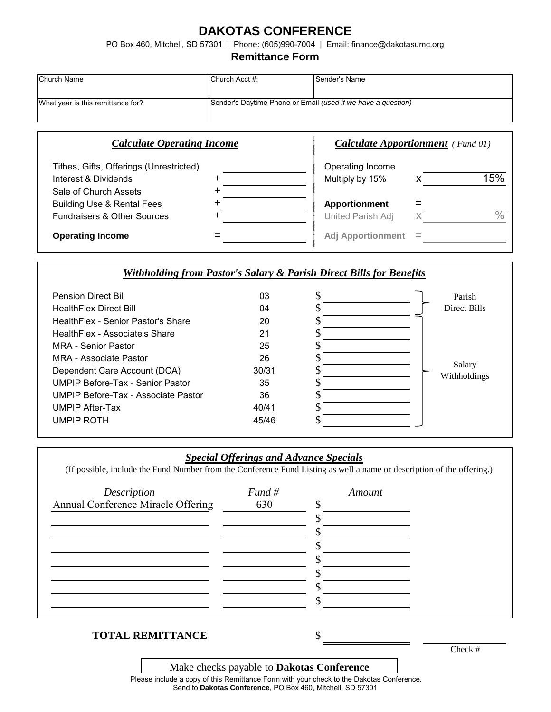# **DAKOTAS CONFERENCE**

PO Box 460, Mitchell, SD 57301 | Phone: (605)990-7004 | Email: finance@dakotasumc.org

#### **Remittance Form**

| <b>Church Name</b>                | Church Acct #:                                                      | Sender's Name |
|-----------------------------------|---------------------------------------------------------------------|---------------|
| What year is this remittance for? | Sender's Daytime Phone or Email <i>(used if we have a question)</i> |               |

| <b>Calculate Operating Income</b>       |  | <b>Calculate Apportionment</b> (Fund 01) |          |     |
|-----------------------------------------|--|------------------------------------------|----------|-----|
| Tithes, Gifts, Offerings (Unrestricted) |  | Operating Income                         |          |     |
| Interest & Dividends                    |  | Multiply by 15%                          |          | 15% |
| Sale of Church Assets                   |  |                                          |          |     |
| <b>Building Use &amp; Rental Fees</b>   |  | Apportionment                            |          |     |
| <b>Fundraisers &amp; Other Sources</b>  |  | United Parish Adj                        |          | 0/  |
| <b>Operating Income</b>                 |  | <b>Adj Apportionment</b>                 | $\equiv$ |     |

### *Withholding from Pastor's Salary & Parish Direct Bills for Benefits*

| <b>Pension Direct Bill</b>              | 03    | \$<br>Parish           |
|-----------------------------------------|-------|------------------------|
| <b>HealthFlex Direct Bill</b>           | 04    | Direct Bills           |
| HealthFlex - Senior Pastor's Share      | 20    |                        |
| HealthFlex - Associate's Share          | 21    |                        |
| MRA - Senior Pastor                     | 25    |                        |
| MRA - Associate Pastor                  | 26    |                        |
| Dependent Care Account (DCA)            | 30/31 | Salary<br>Withholdings |
| <b>UMPIP Before-Tax - Senior Pastor</b> | 35    |                        |
| UMPIP Before-Tax - Associate Pastor     | 36    |                        |
| <b>UMPIP After-Tax</b>                  | 40/41 |                        |
| <b>UMPIP ROTH</b>                       | 45/46 |                        |
|                                         |       |                        |

# *Special Offerings and Advance Specials*

(If possible, include the Fund Number from the Conference Fund Listing as well a name or description of the offering.)

| Description                        | Fund # | Amount |
|------------------------------------|--------|--------|
| Annual Conference Miracle Offering | 630    |        |
|                                    |        |        |
|                                    |        |        |
|                                    |        |        |
|                                    |        |        |
|                                    |        |        |
|                                    |        |        |
|                                    |        |        |
|                                    |        |        |

# **TOTAL REMITTANCE** \$

Make checks payable to **Dakotas Conference**

Check #

Send to **Dakotas Conference**, PO Box 460, Mitchell, SD 57301 Please include a copy of this Remittance Form with your check to the Dakotas Conference.